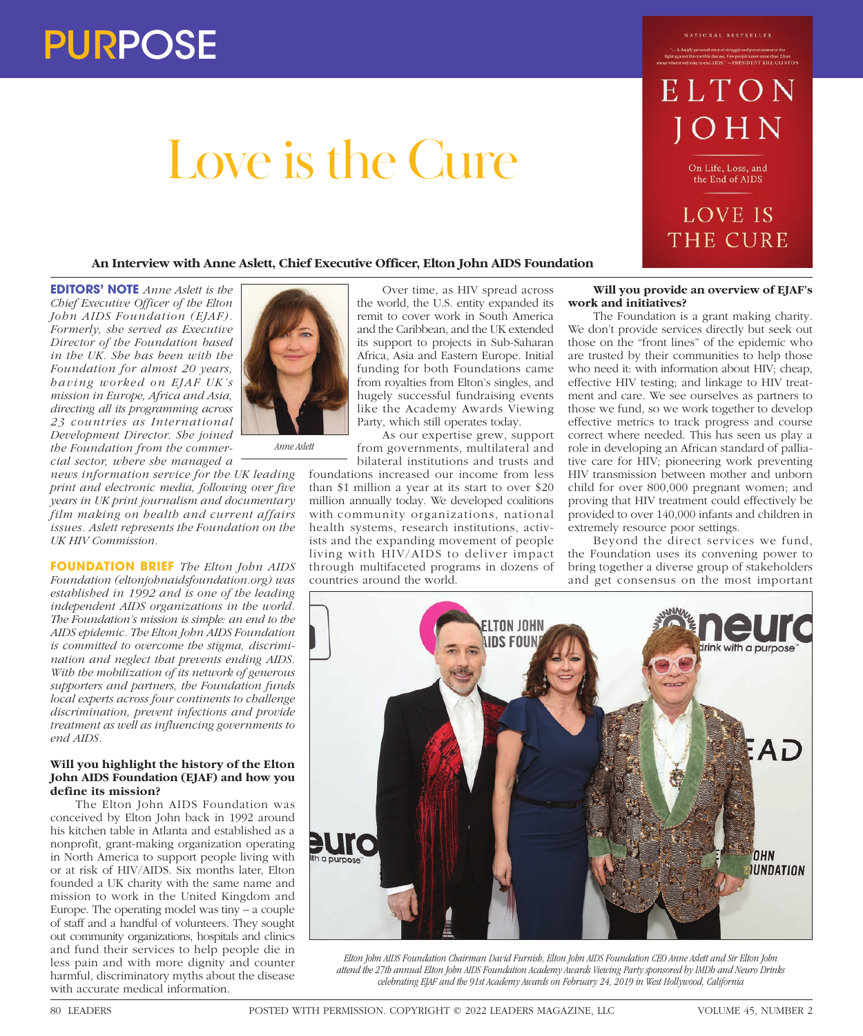# Love is the Cure

#### NATIONAL BESTSELLER

ELTON

On Life, Loss, and the End of AIDS

# **LOVE IS** THE CURE

# **An Interview with Anne Aslett, Chief Executive Officer, Elton John AIDS Foundation**

**EDITORS' NOTE** *Anne Aslett is the Chief Executive Officer of the Elton John AIDS Foundation (EJAF). Formerly, she served as Executive Director of the Foundation based in the UK. She has been with the Foundation for almost 20 years, having worked on EJAF UK's mission in Europe, Africa and Asia, directing all its programming across 23 countries as International Development Director. She joined the Foundation from the commercial sector, where she managed a* 



*news information service for the UK leading print and electronic media, following over five years in UK print journalism and documentary film making on health and current affairs issues. Aslett represents the Foundation on the UK HIV Commission.*

**FOUNDATION BRIEF** *The Elton John AIDS Foundation (eltonjohnaidsfoundation.org) was established in 1992 and is one of the leading independent AIDS organizations in the world. The Foundation's mission is simple: an end to the AIDS epidemic. The Elton John AIDS Foundation is committed to overcome the stigma, discrimination and neglect that prevents ending AIDS. With the mobilization of its network of generous supporters and partners, the Foundation funds local experts across four continents to challenge discrimination, prevent infections and provide treatment as well as influencing governments to end AIDS.*

### **Will you highlight the history of the Elton John AIDS Foundation (EJAF) and how you define its mission?**

The Elton John AIDS Foundation was conceived by Elton John back in 1992 around his kitchen table in Atlanta and established as a nonprofit, grant-making organization operating in North America to support people living with or at risk of HIV/AIDS. Six months later, Elton founded a UK charity with the same name and mission to work in the United Kingdom and Europe. The operating model was tiny – a couple of staff and a handful of volunteers. They sought out community organizations, hospitals and clinics and fund their services to help people die in less pain and with more dignity and counter harmful, discriminatory myths about the disease with accurate medical information.

Over time, as HIV spread across the world, the U.S. entity expanded its remit to cover work in South America and the Caribbean, and the UK extended its support to projects in Sub-Saharan Africa, Asia and Eastern Europe. Initial funding for both Foundations came from royalties from Elton's singles, and hugely successful fundraising events like the Academy Awards Viewing Party, which still operates today.

As our expertise grew, support from governments, multilateral and bilateral institutions and trusts and

foundations increased our income from less than \$1 million a year at its start to over \$20 million annually today. We developed coalitions with community organizations, national health systems, research institutions, activists and the expanding movement of people living with HIV/AIDS to deliver impact through multifaceted programs in dozens of countries around the world.

### **Will you provide an overview of EJAF's work and initiatives?**

The Foundation is a grant making charity. We don't provide services directly but seek out those on the "front lines" of the epidemic who are trusted by their communities to help those who need it: with information about HIV; cheap, effective HIV testing; and linkage to HIV treatment and care. We see ourselves as partners to those we fund, so we work together to develop effective metrics to track progress and course correct where needed. This has seen us play a role in developing an African standard of palliative care for HIV; pioneering work preventing HIV transmission between mother and unborn child for over 800,000 pregnant women; and proving that HIV treatment could effectively be provided to over 140,000 infants and children in extremely resource poor settings.

Beyond the direct services we fund, the Foundation uses its convening power to bring together a diverse group of stakeholders and get consensus on the most important



*Elton John AIDS Foundation Chairman David Furnish, Elton John AIDS Foundation CEO Anne Aslett and Sir Elton John attend the 27th annual Elton John AIDS Foundation Academy Awards Viewing Party sponsored by IMDb and Neuro Drinks celebrating EJAF and the 91st Academy Awards on February 24, 2019 in West Hollywood, California*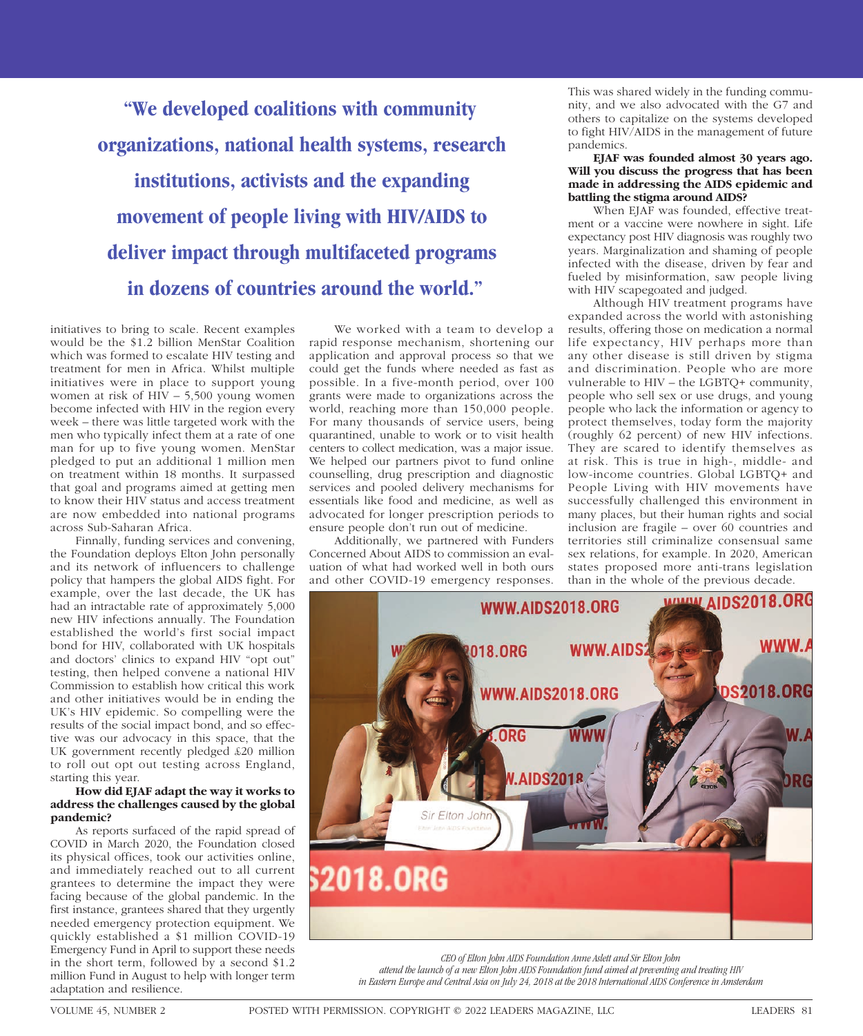**"We developed coalitions with community organizations, national health systems, research institutions, activists and the expanding movement of people living with HIV/AIDS to deliver impact through multifaceted programs in dozens of countries around the world."**

initiatives to bring to scale. Recent examples would be the \$1.2 billion MenStar Coalition which was formed to escalate HIV testing and treatment for men in Africa. Whilst multiple initiatives were in place to support young women at risk of HIV – 5,500 young women become infected with HIV in the region every week – there was little targeted work with the men who typically infect them at a rate of one man for up to five young women. MenStar pledged to put an additional 1 million men on treatment within 18 months. It surpassed that goal and programs aimed at getting men to know their HIV status and access treatment are now embedded into national programs across Sub-Saharan Africa.

Finnally, funding services and convening, the Foundation deploys Elton John personally and its network of influencers to challenge policy that hampers the global AIDS fight. For example, over the last decade, the UK has had an intractable rate of approximately 5,000 new HIV infections annually. The Foundation established the world's first social impact bond for HIV, collaborated with UK hospitals and doctors' clinics to expand HIV "opt out" testing, then helped convene a national HIV Commission to establish how critical this work and other initiatives would be in ending the UK's HIV epidemic. So compelling were the results of the social impact bond, and so effective was our advocacy in this space, that the UK government recently pledged £20 million to roll out opt out testing across England, starting this year.

# **How did EJAF adapt the way it works to address the challenges caused by the global pandemic?**

As reports surfaced of the rapid spread of COVID in March 2020, the Foundation closed its physical offices, took our activities online, and immediately reached out to all current grantees to determine the impact they were facing because of the global pandemic. In the first instance, grantees shared that they urgently needed emergency protection equipment. We quickly established a \$1 million COVID-19 Emergency Fund in April to support these needs in the short term, followed by a second \$1.2 million Fund in August to help with longer term adaptation and resilience.

We worked with a team to develop a rapid response mechanism, shortening our application and approval process so that we could get the funds where needed as fast as possible. In a five-month period, over 100 grants were made to organizations across the world, reaching more than 150,000 people. For many thousands of service users, being quarantined, unable to work or to visit health centers to collect medication, was a major issue. We helped our partners pivot to fund online counselling, drug prescription and diagnostic services and pooled delivery mechanisms for essentials like food and medicine, as well as advocated for longer prescription periods to ensure people don't run out of medicine.

Additionally, we partnered with Funders Concerned About AIDS to commission an evaluation of what had worked well in both ours and other COVID-19 emergency responses.

This was shared widely in the funding community, and we also advocated with the G7 and others to capitalize on the systems developed to fight HIV/AIDS in the management of future pandemics.

**EJAF was founded almost 30 years ago. Will you discuss the progress that has been made in addressing the AIDS epidemic and battling the stigma around AIDS?**

When EJAF was founded, effective treatment or a vaccine were nowhere in sight. Life expectancy post HIV diagnosis was roughly two years. Marginalization and shaming of people infected with the disease, driven by fear and fueled by misinformation, saw people living with HIV scapegoated and judged.

Although HIV treatment programs have expanded across the world with astonishing results, offering those on medication a normal life expectancy, HIV perhaps more than any other disease is still driven by stigma and discrimination. People who are more vulnerable to HIV – the LGBTQ+ community, people who sell sex or use drugs, and young people who lack the information or agency to protect themselves, today form the majority (roughly 62 percent) of new HIV infections. They are scared to identify themselves as at risk. This is true in high-, middle- and low-income countries. Global LGBTQ+ and People Living with HIV movements have successfully challenged this environment in many places, but their human rights and social inclusion are fragile – over 60 countries and territories still criminalize consensual same sex relations, for example. In 2020, American states proposed more anti-trans legislation than in the whole of the previous decade.



*CEO of Elton John AIDS Foundation Anne Aslett and Sir Elton John* 

*attend the launch of a new Elton John AIDS Foundation fund aimed at preventing and treating HIV in Eastern Europe and Central Asia on July 24, 2018 at the 2018 International AIDS Conference in Amsterdam*